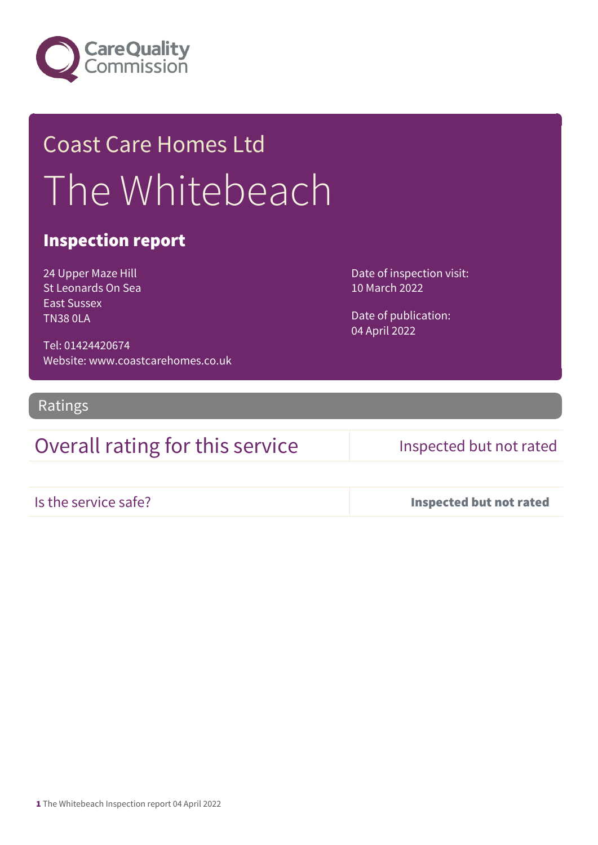

## Coast Care Homes Ltd The Whitebeach

### Inspection report

24 Upper Maze Hill St Leonards On Sea East Sussex TN38 0LA

Tel: 01424420674 Website: www.coastcarehomes.co.uk

Ratings

Overall rating for this service Inspected but not rated

Date of inspection visit: 10 March 2022

Date of publication: 04 April 2022

Is the service safe? Inspected but not rated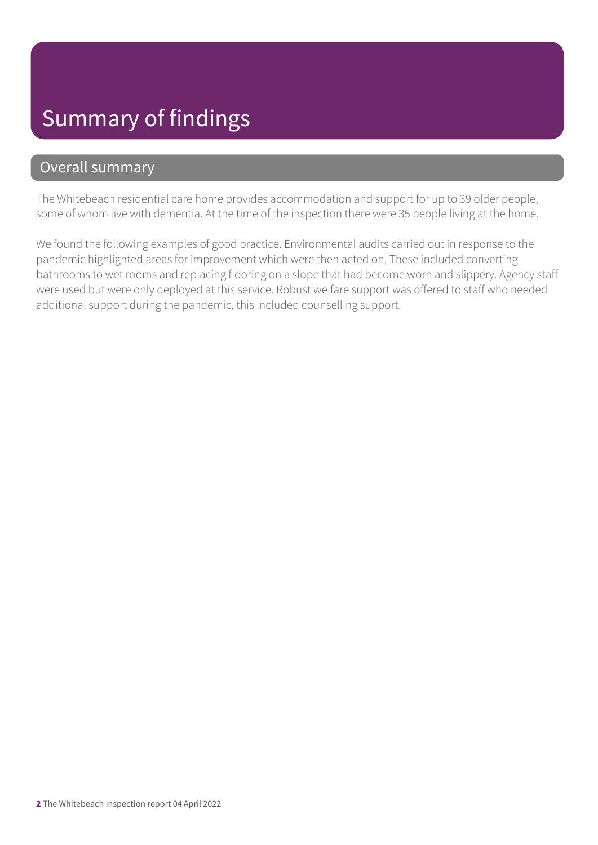### Summary of findings

### Overall summary

The Whitebeach residential care home provides accommodation and support for up to 39 older people, some of whom live with dementia. At the time of the inspection there were 35 people living at the home.

We found the following examples of good practice. Environmental audits carried out in response to the pandemic highlighted areas for improvement which were then acted on. These included converting bathrooms to wet rooms and replacing flooring on a slope that had become worn and slippery. Agency staff were used but were only deployed at this service. Robust welfare support was offered to staff who needed additional support during the pandemic, this included counselling support.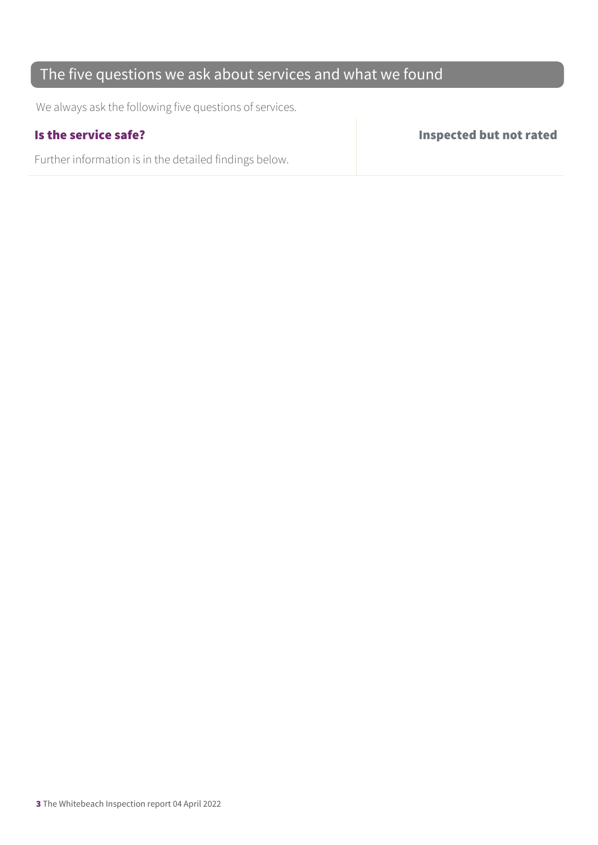### The five questions we ask about services and what we found

We always ask the following five questions of services.

Further information is in the detailed findings below.

Is the service safe? Inspected but not rated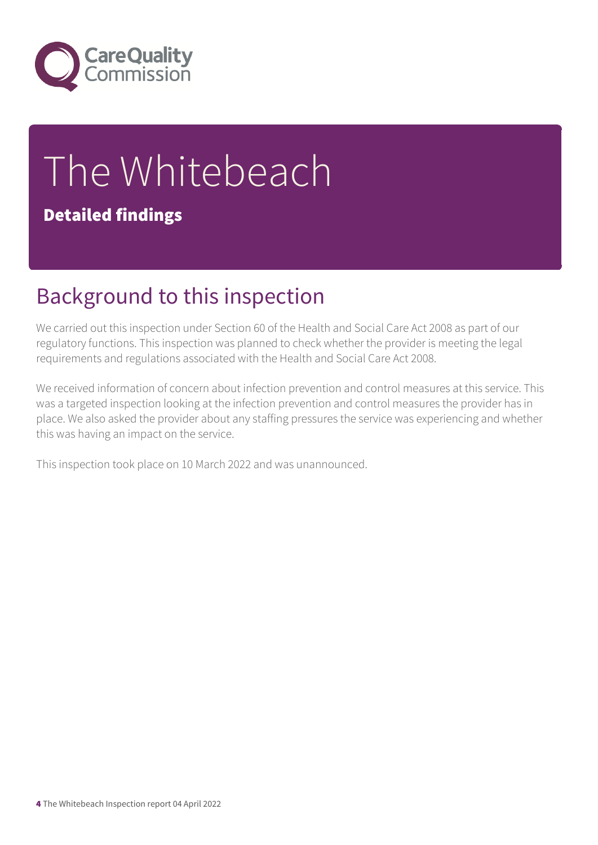

# The Whitebeach

### Detailed findings

### Background to this inspection

We carried out this inspection under Section 60 of the Health and Social Care Act 2008 as part of our regulatory functions. This inspection was planned to check whether the provider is meeting the legal requirements and regulations associated with the Health and Social Care Act 2008.

We received information of concern about infection prevention and control measures at this service. This was a targeted inspection looking at the infection prevention and control measures the provider has in place. We also asked the provider about any staffing pressures the service was experiencing and whether this was having an impact on the service.

This inspection took place on 10 March 2022 and was unannounced.